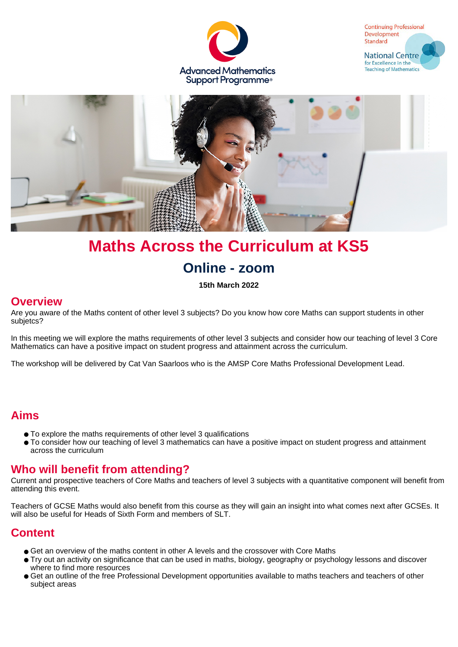





# **Maths Across the Curriculum at KS5 Online - zoom**

**15th March 2022**

#### **Overview**

Are you aware of the Maths content of other level 3 subjects? Do you know how core Maths can support students in other subjetcs?

In this meeting we will explore the maths requirements of other level 3 subjects and consider how our teaching of level 3 Core Mathematics can have a positive impact on student progress and attainment across the curriculum.

The workshop will be delivered by Cat Van Saarloos who is the AMSP Core Maths Professional Development Lead.

# **Aims**

- To explore the maths requirements of other level 3 qualifications
- To consider how our teaching of level 3 mathematics can have a positive impact on student progress and attainment across the curriculum

#### **Who will benefit from attending?**

Current and prospective teachers of Core Maths and teachers of level 3 subjects with a quantitative component will benefit from attending this event.

Teachers of GCSE Maths would also benefit from this course as they will gain an insight into what comes next after GCSEs. It will also be useful for Heads of Sixth Form and members of SLT.

#### **Content**

- Get an overview of the maths content in other A levels and the crossover with Core Maths
- Try out an activity on significance that can be used in maths, biology, geography or psychology lessons and discover where to find more resources
- Get an outline of the free Professional Development opportunities available to maths teachers and teachers of other subject areas